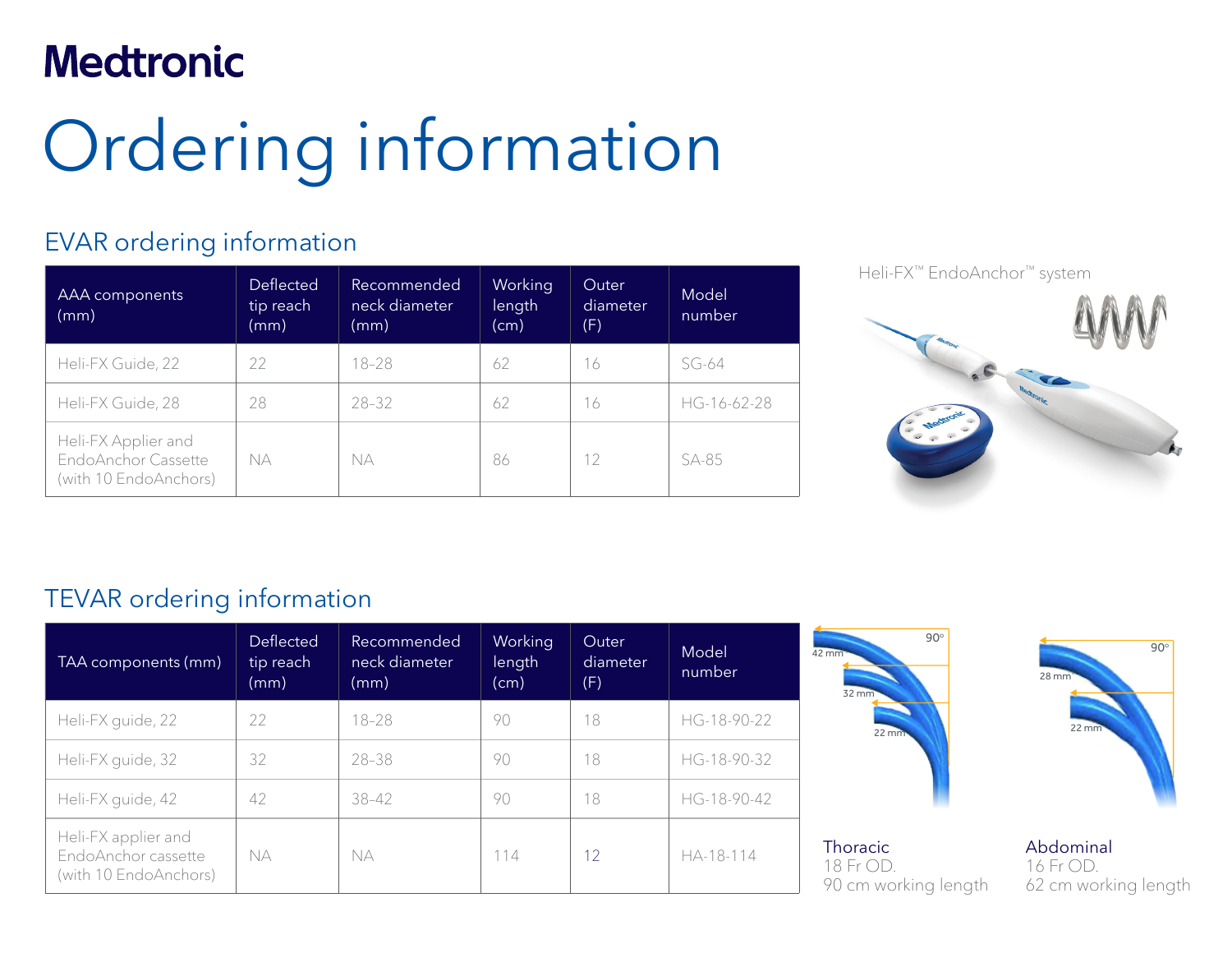# **Medtronic**

# Ordering information

## EVAR ordering information

| AAA components<br>(mm)                                                    | <b>Deflected</b><br>tip reach<br>(mm) | Recommended<br>neck diameter<br>(mm) | Working<br>length<br>(cm) | <b>Outer</b><br>diameter<br>(F) | Model<br>number |
|---------------------------------------------------------------------------|---------------------------------------|--------------------------------------|---------------------------|---------------------------------|-----------------|
| Heli-FX Guide, 22                                                         | 22                                    | $18 - 28$                            | 62                        | 16                              | $SG-64$         |
| Heli-FX Guide, 28                                                         | 28                                    | $28 - 32$                            | 62                        | 16                              | HG-16-62-28     |
| Heli-FX Applier and<br>EndoAnchor Cassette<br>NA<br>(with 10 EndoAnchors) |                                       | NА                                   | 86                        | 12                              | SA-85           |

Heli-FX™ EndoAnchor™ system

## TEVAR ordering information

| TAA components (mm)                                                 | Deflected<br>tip reach<br>(mm) | Recommended<br>neck diameter<br>(mm) | Working<br>length<br>(cm) | Outer<br>diameter<br>(F) | Model<br>number | $90^\circ$<br>42 mm<br>$32 \, \text{mm}$      | $90^\circ$<br>$28 \, \text{mm}$                |
|---------------------------------------------------------------------|--------------------------------|--------------------------------------|---------------------------|--------------------------|-----------------|-----------------------------------------------|------------------------------------------------|
| Heli-FX guide, 22                                                   | 22                             | $18 - 28$                            | 90                        | 18                       | HG-18-90-22     | $22 \, \text{mm}$                             | $22 \, \text{mm}$                              |
| Heli-FX guide, 32                                                   | 32                             | 28-38                                | 90                        | 18                       | HG-18-90-32     |                                               |                                                |
| Heli-FX guide, 42                                                   | 42                             | 38-42                                | 90                        | 18                       | HG-18-90-42     |                                               |                                                |
| Heli-FX applier and<br>EndoAnchor cassette<br>(with 10 EndoAnchors) | <b>NA</b>                      | <b>NA</b>                            | 114                       | 12                       | HA-18-114       | Thoracic<br>18 Fr OD.<br>90 cm working length | Abdominal<br>16 Fr OD.<br>62 cm working length |